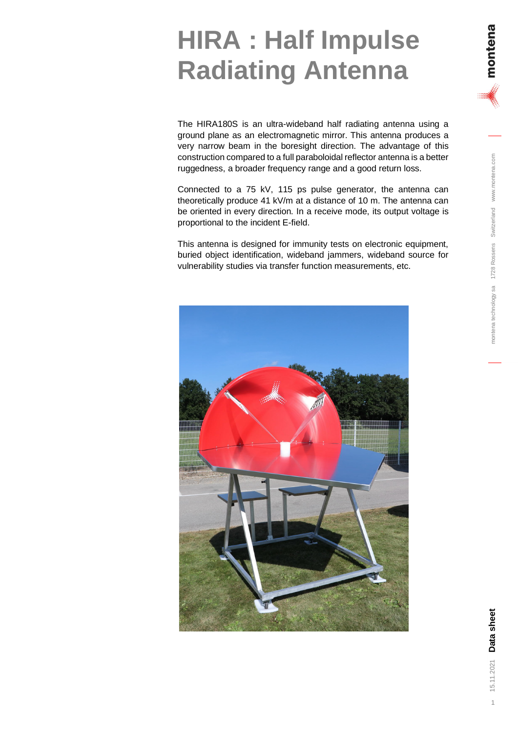## montena technology sa 1728 Rossens Switzerland www.montena.com 15.11.2021 Data Sheet switzerland www.montena.com in the switch sa 1728 Rossens Switzerland www.montena.com

The HIRA180S is an ultra-wideband half radiating antenna using a ground plane as an electromagnetic mirror. This antenna produces a very narrow beam in the boresight direction. The advantage of this construction compared to a full paraboloidal reflector antenna is a better ruggedness, a broader frequency range and a good return loss.

Connected to a 75 kV, 115 ps pulse generator, the antenna can theoretically produce 41 kV/m at a distance of 10 m. The antenna can be oriented in every direction. In a receive mode, its output voltage is proportional to the incident E-field.

This antenna is designed for immunity tests on electronic equipment, buried object identification, wideband jammers, wideband source for vulnerability studies via transfer function measurements, etc.